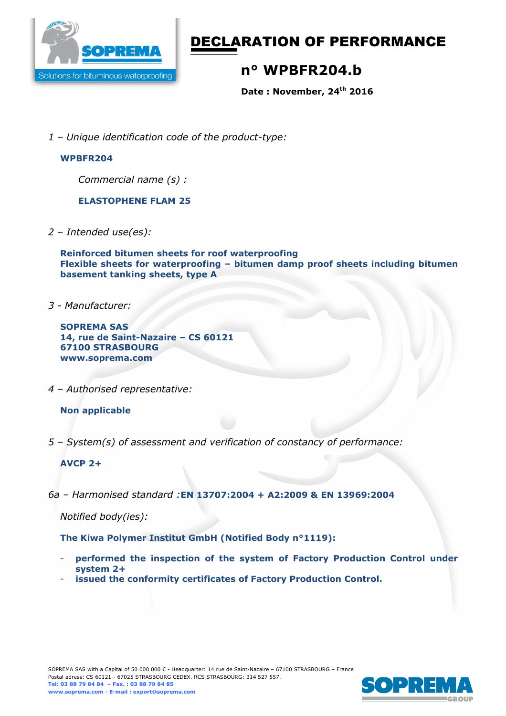

# DECLARATION OF PERFORMANCE

# **n° WPBFR204.b**

**Date : November, 24th 2016** 

*1 – Unique identification code of the product-type:*

#### **WPBFR204**

*Commercial name (s) :* 

**ELASTOPHENE FLAM 25** 

*2 – Intended use(es):* 

**Reinforced bitumen sheets for roof waterproofing Flexible sheets for waterproofing – bitumen damp proof sheets including bitumen basement tanking sheets, type A** 

*3 - Manufacturer:* 

**SOPREMA SAS 14, rue de Saint-Nazaire – CS 60121 67100 STRASBOURG www.soprema.com** 

*4 – Authorised representative:* 

### **Non applicable**

*5 – System(s) of assessment and verification of constancy of performance:* 

### **AVCP 2+**

*6a – Harmonised standard :***EN 13707:2004 + A2:2009 & EN 13969:2004**

*Notified body(ies):* 

**The Kiwa Polymer Institut GmbH (Notified Body n°1119):** 

- **performed the inspection of the system of Factory Production Control under system 2+**
- issued the conformity certificates of Factory Production Control.